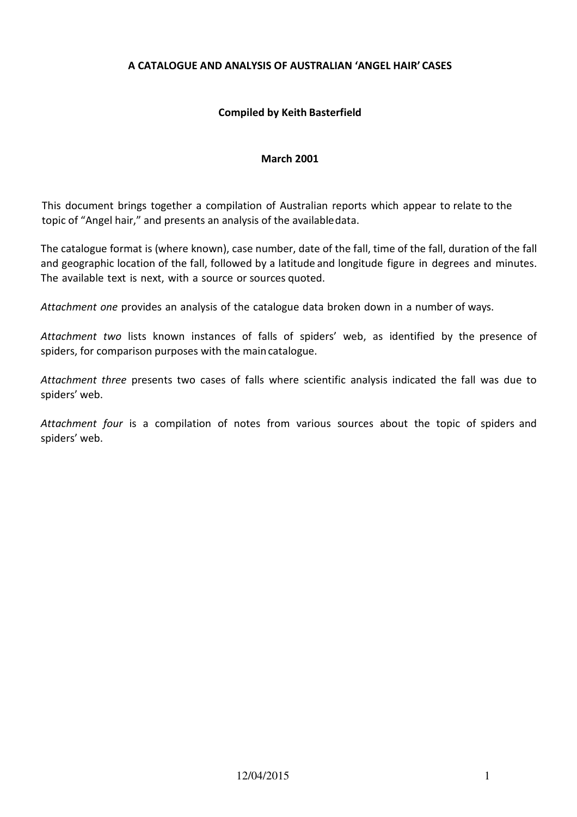## **A CATALOGUE AND ANALYSIS OF AUSTRALIAN 'ANGEL HAIR' CASES**

## **Compiled by Keith Basterfield**

#### **March 2001**

This document brings together a compilation of Australian reports which appear to relate to the topic of "Angel hair," and presents an analysis of the available data.

The catalogue format is (where known), case number, date of the fall, time of the fall, duration of the fall and geographic location of the fall, followed by a latitude and longitude figure in degrees and minutes. The available text is next, with a source or sources quoted.

*Attachment one* provides an analysis of the catalogue data broken down in a number of ways.

*Attachment two* lists known instances of falls of spiders' web, as identified by the presence of spiders, for comparison purposes with the main catalogue.

*Attachment three* presents two cases of falls where scientific analysis indicated the fall was due to spiders' web.

*Attachment four* is a compilation of notes from various sources about the topic of spiders and spiders' web.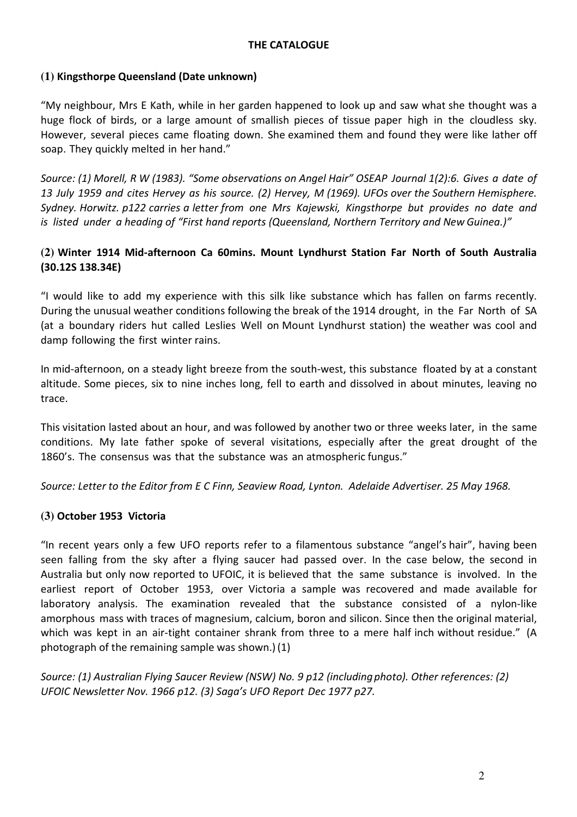## **THE CATALOGUE**

## **(1) Kingsthorpe Queensland (Date unknown)**

"My neighbour, Mrs E Kath, while in her garden happened to look up and saw what she thought was a huge flock of birds, or a large amount of smallish pieces of tissue paper high in the cloudless sky. However, several pieces came floating down. She examined them and found they were like lather off soap. They quickly melted in her hand."

*Source: (1) Morell, R W (1983). "Some observations on Angel Hair" OSEAP Journal 1(2):6. Gives a date of 13 July 1959 and cites Hervey as his source. (2) Hervey, M (1969). UFOs over the Southern Hemisphere. Sydney. Horwitz. p122 carries a letter from one Mrs Kajewski, Kingsthorpe but provides no date and is listed under a heading of "First hand reports (Queensland, Northern Territory and New Guinea.)"* 

## **(2) Winter 1914 Mid-afternoon Ca 60mins. Mount Lyndhurst Station Far North of South Australia (30.12S 138.34E)**

"I would like to add my experience with this silk like substance which has fallen on farms recently. During the unusual weather conditions following the break of the 1914 drought, in the Far North of SA (at a boundary riders hut called Leslies Well on Mount Lyndhurst station) the weather was cool and damp following the first winter rains.

In mid-afternoon, on a steady light breeze from the south-west, this substance floated by at a constant altitude. Some pieces, six to nine inches long, fell to earth and dissolved in about minutes, leaving no trace.

This visitation lasted about an hour, and was followed by another two or three weeks later, in the same conditions. My late father spoke of several visitations, especially after the great drought of the 1860's. The consensus was that the substance was an atmospheric fungus."

*Source: Letter to the Editor from E C Finn, Seaview Road, Lynton. Adelaide Advertiser. 25 May 1968.* 

## **(3) October 1953 Victoria**

"In recent years only a few UFO reports refer to a filamentous substance "angel's hair", having been seen falling from the sky after a flying saucer had passed over. In the case below, the second in Australia but only now reported to UFOIC, it is believed that the same substance is involved. In the earliest report of October 1953, over Victoria a sample was recovered and made available for laboratory analysis. The examination revealed that the substance consisted of a nylon-like amorphous mass with traces of magnesium, calcium, boron and silicon. Since then the original material, which was kept in an air-tight container shrank from three to a mere half inch without residue." (A photograph of the remaining sample was shown.) (1)

*Source: (1) Australian Flying Saucer Review (NSW) No. 9 p12 (including photo). Other references: (2) UFOIC Newsletter Nov. 1966 p12. (3) Saga's UFO Report Dec 1977 p27.*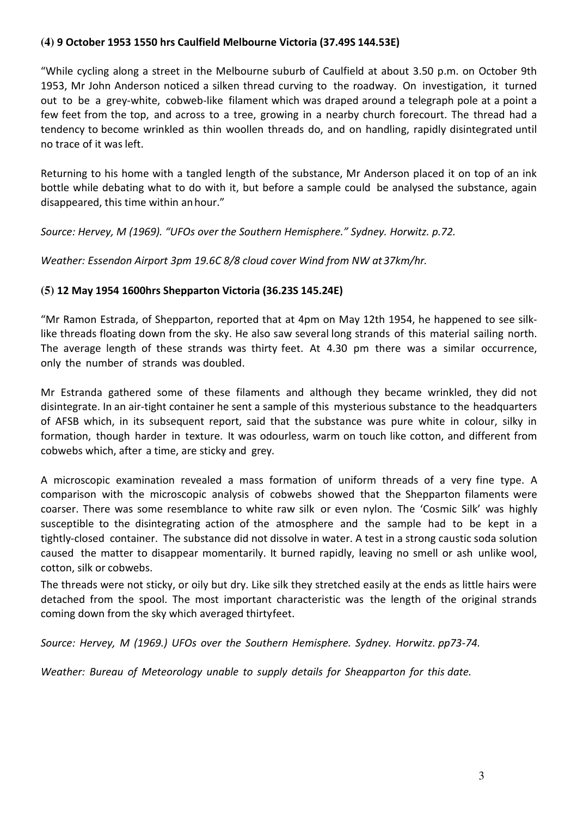## **(4) 9 October 1953 1550 hrs Caulfield Melbourne Victoria (37.49S 144.53E)**

"While cycling along a street in the Melbourne suburb of Caulfield at about 3.50 p.m. on October 9th 1953, Mr John Anderson noticed a silken thread curving to the roadway. On investigation, it turned out to be a grey-white, cobweb-like filament which was draped around a telegraph pole at a point a few feet from the top, and across to a tree, growing in a nearby church forecourt. The thread had a tendency to become wrinkled as thin woollen threads do, and on handling, rapidly disintegrated until no trace of it was left.

Returning to his home with a tangled length of the substance, Mr Anderson placed it on top of an ink bottle while debating what to do with it, but before a sample could be analysed the substance, again disappeared, this time within an hour."

*Source: Hervey, M (1969). "UFOs over the Southern Hemisphere." Sydney. Horwitz. p.72.*

*Weather: Essendon Airport 3pm 19.6C 8/8 cloud cover Wind from NW at 37km/hr.* 

## **(5) 12 May 1954 1600hrs Shepparton Victoria (36.23S 145.24E)**

"Mr Ramon Estrada, of Shepparton, reported that at 4pm on May 12th 1954, he happened to see silklike threads floating down from the sky. He also saw several long strands of this material sailing north. The average length of these strands was thirty feet. At 4.30 pm there was a similar occurrence, only the number of strands was doubled.

Mr Estranda gathered some of these filaments and although they became wrinkled, they did not disintegrate. In an air-tight container he sent a sample of this mysterious substance to the headquarters of AFSB which, in its subsequent report, said that the substance was pure white in colour, silky in formation, though harder in texture. It was odourless, warm on touch like cotton, and different from cobwebs which, after a time, are sticky and grey.

A microscopic examination revealed a mass formation of uniform threads of a very fine type. A comparison with the microscopic analysis of cobwebs showed that the Shepparton filaments were coarser. There was some resemblance to white raw silk or even nylon. The 'Cosmic Silk' was highly susceptible to the disintegrating action of the atmosphere and the sample had to be kept in a tightly-closed container. The substance did not dissolve in water. A test in a strong caustic soda solution caused the matter to disappear momentarily. It burned rapidly, leaving no smell or ash unlike wool, cotton, silk or cobwebs.

The threads were not sticky, or oily but dry. Like silk they stretched easily at the ends as little hairs were detached from the spool. The most important characteristic was the length of the original strands coming down from the sky which averaged thirty feet.

*Source: Hervey, M (1969.) UFOs over the Southern Hemisphere. Sydney. Horwitz. pp73-74.*

*Weather: Bureau of Meteorology unable to supply details for Sheapparton for this date.*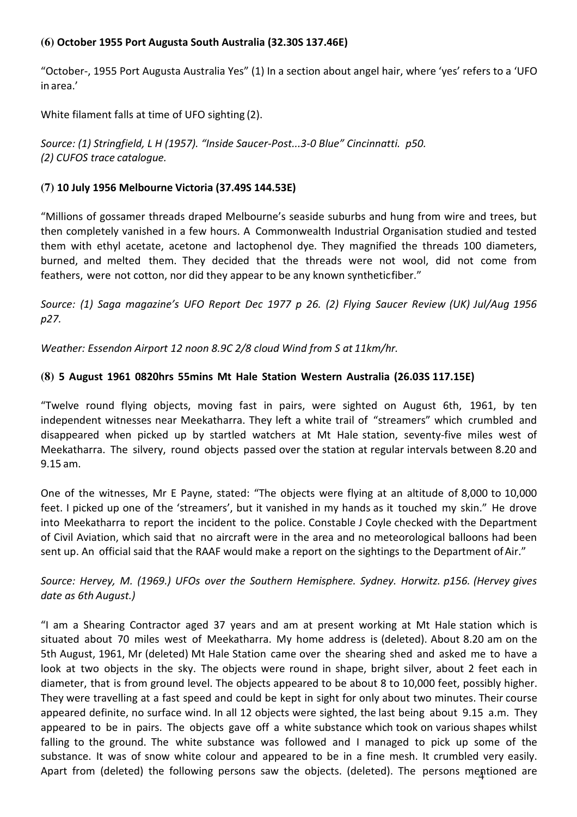## **(6) October 1955 Port Augusta South Australia (32.30S 137.46E)**

"October-, 1955 Port Augusta Australia Yes" (1) In a section about angel hair, where 'yes' refers to a 'UFO in area.'

White filament falls at time of UFO sighting (2).

*Source: (1) Stringfield, L H (1957). "Inside Saucer-Post...3-0 Blue" Cincinnatti. p50. (2) CUFOS trace catalogue.* 

## **(7) 10 July 1956 Melbourne Victoria (37.49S 144.53E)**

"Millions of gossamer threads draped Melbourne's seaside suburbs and hung from wire and trees, but then completely vanished in a few hours. A Commonwealth Industrial Organisation studied and tested them with ethyl acetate, acetone and lactophenol dye. They magnified the threads 100 diameters, burned, and melted them. They decided that the threads were not wool, did not come from feathers, were not cotton, nor did they appear to be any known synthetic fiber."

*Source: (1) Saga magazine's UFO Report Dec 1977 p 26. (2) Flying Saucer Review (UK) Jul/Aug 1956 p27.*

*Weather: Essendon Airport 12 noon 8.9C 2/8 cloud Wind from S at 11km/hr.* 

## **(8) 5 August 1961 0820hrs 55mins Mt Hale Station Western Australia (26.03S 117.15E)**

"Twelve round flying objects, moving fast in pairs, were sighted on August 6th, 1961, by ten independent witnesses near Meekatharra. They left a white trail of "streamers" which crumbled and disappeared when picked up by startled watchers at Mt Hale station, seventy-five miles west of Meekatharra. The silvery, round objects passed over the station at regular intervals between 8.20 and 9.15 am.

One of the witnesses, Mr E Payne, stated: "The objects were flying at an altitude of 8,000 to 10,000 feet. I picked up one of the 'streamers', but it vanished in my hands as it touched my skin." He drove into Meekatharra to report the incident to the police. Constable J Coyle checked with the Department of Civil Aviation, which said that no aircraft were in the area and no meteorological balloons had been sent up. An official said that the RAAF would make a report on the sightings to the Department of Air."

# *Source: Hervey, M. (1969.) UFOs over the Southern Hemisphere. Sydney. Horwitz. p156. (Hervey gives date as 6th August.)*

Apart from (deleted) the following persons saw the objects. (deleted). The persons mentioned are "I am a Shearing Contractor aged 37 years and am at present working at Mt Hale station which is situated about 70 miles west of Meekatharra. My home address is (deleted). About 8.20 am on the 5th August, 1961, Mr (deleted) Mt Hale Station came over the shearing shed and asked me to have a look at two objects in the sky. The objects were round in shape, bright silver, about 2 feet each in diameter, that is from ground level. The objects appeared to be about 8 to 10,000 feet, possibly higher. They were travelling at a fast speed and could be kept in sight for only about two minutes. Their course appeared definite, no surface wind. In all 12 objects were sighted, the last being about 9.15 a.m. They appeared to be in pairs. The objects gave off a white substance which took on various shapes whilst falling to the ground. The white substance was followed and I managed to pick up some of the substance. It was of snow white colour and appeared to be in a fine mesh. It crumbled very easily.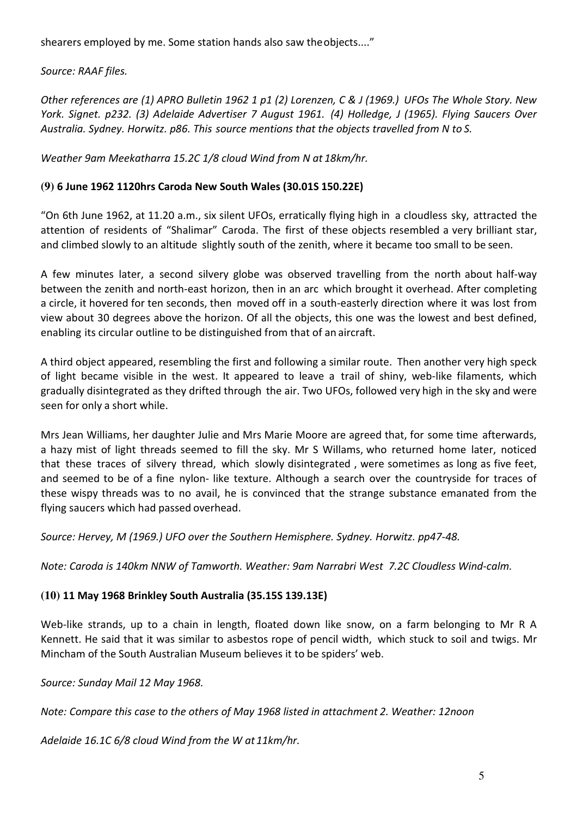shearers employed by me. Some station hands also saw the objects...."

*Source: RAAF files.*

*Other references are (1) APRO Bulletin 1962 1 p1 (2) Lorenzen, C & J (1969.) UFOs The Whole Story. New York. Signet. p232. (3) Adelaide Advertiser 7 August 1961. (4) Holledge, J (1965). Flying Saucers Over Australia. Sydney. Horwitz. p86. This source mentions that the objects travelled from N to S.*

*Weather 9am Meekatharra 15.2C 1/8 cloud Wind from N at 18km/hr.* 

# **(9) 6 June 1962 1120hrs Caroda New South Wales (30.01S 150.22E)**

"On 6th June 1962, at 11.20 a.m., six silent UFOs, erratically flying high in a cloudless sky, attracted the attention of residents of "Shalimar" Caroda. The first of these objects resembled a very brilliant star, and climbed slowly to an altitude slightly south of the zenith, where it became too small to be seen.

A few minutes later, a second silvery globe was observed travelling from the north about half-way between the zenith and north-east horizon, then in an arc which brought it overhead. After completing a circle, it hovered for ten seconds, then moved off in a south-easterly direction where it was lost from view about 30 degrees above the horizon. Of all the objects, this one was the lowest and best defined, enabling its circular outline to be distinguished from that of an aircraft.

A third object appeared, resembling the first and following a similar route. Then another very high speck of light became visible in the west. It appeared to leave a trail of shiny, web-like filaments, which gradually disintegrated as they drifted through the air. Two UFOs, followed very high in the sky and were seen for only a short while.

Mrs Jean Williams, her daughter Julie and Mrs Marie Moore are agreed that, for some time afterwards, a hazy mist of light threads seemed to fill the sky. Mr S Willams, who returned home later, noticed that these traces of silvery thread, which slowly disintegrated , were sometimes as long as five feet, and seemed to be of a fine nylon- like texture. Although a search over the countryside for traces of these wispy threads was to no avail, he is convinced that the strange substance emanated from the flying saucers which had passed overhead.

*Source: Hervey, M (1969.) UFO over the Southern Hemisphere. Sydney. Horwitz. pp47-48.*

*Note: Caroda is 140km NNW of Tamworth. Weather: 9am Narrabri West 7.2C Cloudless Wind-calm.* 

# **(10) 11 May 1968 Brinkley South Australia (35.15S 139.13E)**

Web-like strands, up to a chain in length, floated down like snow, on a farm belonging to Mr R A Kennett. He said that it was similar to asbestos rope of pencil width, which stuck to soil and twigs. Mr Mincham of the South Australian Museum believes it to be spiders' web.

*Source: Sunday Mail 12 May 1968.*

*Note: Compare this case to the others of May 1968 listed in attachment 2. Weather: 12noon* 

*Adelaide 16.1C 6/8 cloud Wind from the W at 11km/hr.*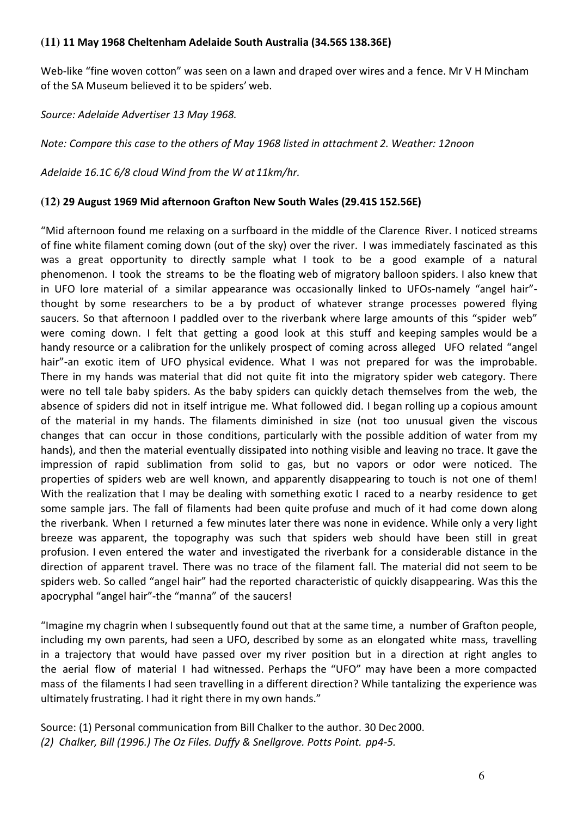## **(11) 11 May 1968 Cheltenham Adelaide South Australia (34.56S 138.36E)**

Web-like "fine woven cotton" was seen on a lawn and draped over wires and a fence. Mr V H Mincham of the SA Museum believed it to be spiders' web.

*Source: Adelaide Advertiser 13 May 1968.*

*Note: Compare this case to the others of May 1968 listed in attachment 2. Weather: 12noon* 

*Adelaide 16.1C 6/8 cloud Wind from the W at 11km/hr.*

#### **(12) 29 August 1969 Mid afternoon Grafton New South Wales (29.41S 152.56E)**

"Mid afternoon found me relaxing on a surfboard in the middle of the Clarence River. I noticed streams of fine white filament coming down (out of the sky) over the river. I was immediately fascinated as this was a great opportunity to directly sample what I took to be a good example of a natural phenomenon. I took the streams to be the floating web of migratory balloon spiders. I also knew that in UFO lore material of a similar appearance was occasionally linked to UFOs-namely "angel hair" thought by some researchers to be a by product of whatever strange processes powered flying saucers. So that afternoon I paddled over to the riverbank where large amounts of this "spider web" were coming down. I felt that getting a good look at this stuff and keeping samples would be a handy resource or a calibration for the unlikely prospect of coming across alleged UFO related "angel hair"-an exotic item of UFO physical evidence. What I was not prepared for was the improbable. There in my hands was material that did not quite fit into the migratory spider web category. There were no tell tale baby spiders. As the baby spiders can quickly detach themselves from the web, the absence of spiders did not in itself intrigue me. What followed did. I began rolling up a copious amount of the material in my hands. The filaments diminished in size (not too unusual given the viscous changes that can occur in those conditions, particularly with the possible addition of water from my hands), and then the material eventually dissipated into nothing visible and leaving no trace. It gave the impression of rapid sublimation from solid to gas, but no vapors or odor were noticed. The properties of spiders web are well known, and apparently disappearing to touch is not one of them! With the realization that I may be dealing with something exotic I raced to a nearby residence to get some sample jars. The fall of filaments had been quite profuse and much of it had come down along the riverbank. When I returned a few minutes later there was none in evidence. While only a very light breeze was apparent, the topography was such that spiders web should have been still in great profusion. I even entered the water and investigated the riverbank for a considerable distance in the direction of apparent travel. There was no trace of the filament fall. The material did not seem to be spiders web. So called "angel hair" had the reported characteristic of quickly disappearing. Was this the apocryphal "angel hair"-the "manna" of the saucers!

"Imagine my chagrin when I subsequently found out that at the same time, a number of Grafton people, including my own parents, had seen a UFO, described by some as an elongated white mass, travelling in a trajectory that would have passed over my river position but in a direction at right angles to the aerial flow of material I had witnessed. Perhaps the "UFO" may have been a more compacted mass of the filaments I had seen travelling in a different direction? While tantalizing the experience was ultimately frustrating. I had it right there in my own hands."

Source: (1) Personal communication from Bill Chalker to the author. 30 Dec 2000. *(2) Chalker, Bill (1996.) The Oz Files. Duffy & Snellgrove. Potts Point. pp4-5.*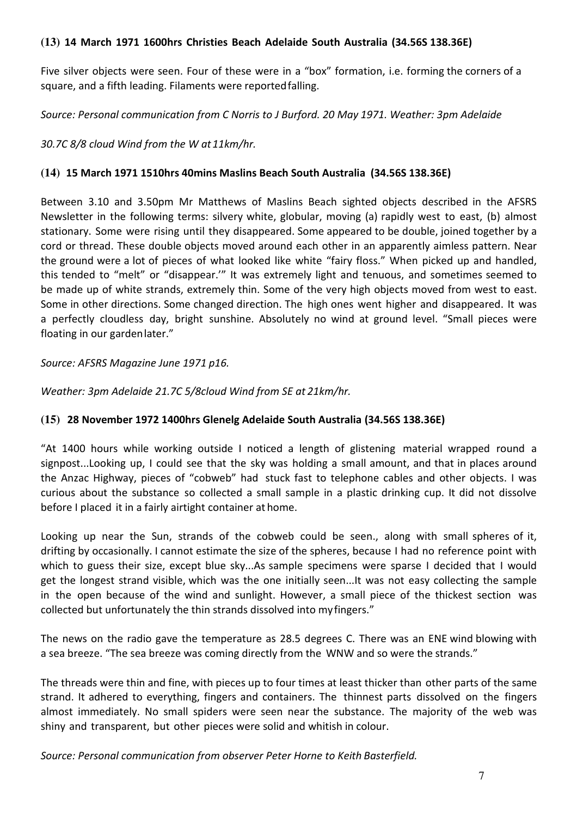## **(13) 14 March 1971 1600hrs Christies Beach Adelaide South Australia (34.56S 138.36E)**

Five silver objects were seen. Four of these were in a "box" formation, i.e. forming the corners of a square, and a fifth leading. Filaments were reported falling.

*Source: Personal communication from C Norris to J Burford. 20 May 1971. Weather: 3pm Adelaide* 

*30.7C 8/8 cloud Wind from the W at 11km/hr.*

## **(14) 15 March 1971 1510hrs 40mins Maslins Beach South Australia (34.56S 138.36E)**

Between 3.10 and 3.50pm Mr Matthews of Maslins Beach sighted objects described in the AFSRS Newsletter in the following terms: silvery white, globular, moving (a) rapidly west to east, (b) almost stationary. Some were rising until they disappeared. Some appeared to be double, joined together by a cord or thread. These double objects moved around each other in an apparently aimless pattern. Near the ground were a lot of pieces of what looked like white "fairy floss." When picked up and handled, this tended to "melt" or "disappear.'" It was extremely light and tenuous, and sometimes seemed to be made up of white strands, extremely thin. Some of the very high objects moved from west to east. Some in other directions. Some changed direction. The high ones went higher and disappeared. It was a perfectly cloudless day, bright sunshine. Absolutely no wind at ground level. "Small pieces were floating in our garden later."

#### *Source: AFSRS Magazine June 1971 p16.*

*Weather: 3pm Adelaide 21.7C 5/8cloud Wind from SE at 21km/hr.* 

## **(15) 28 November 1972 1400hrs Glenelg Adelaide South Australia (34.56S 138.36E)**

"At 1400 hours while working outside I noticed a length of glistening material wrapped round a signpost...Looking up, I could see that the sky was holding a small amount, and that in places around the Anzac Highway, pieces of "cobweb" had stuck fast to telephone cables and other objects. I was curious about the substance so collected a small sample in a plastic drinking cup. It did not dissolve before I placed it in a fairly airtight container at home.

Looking up near the Sun, strands of the cobweb could be seen., along with small spheres of it, drifting by occasionally. I cannot estimate the size of the spheres, because I had no reference point with which to guess their size, except blue sky...As sample specimens were sparse I decided that I would get the longest strand visible, which was the one initially seen...It was not easy collecting the sample in the open because of the wind and sunlight. However, a small piece of the thickest section was collected but unfortunately the thin strands dissolved into my fingers."

The news on the radio gave the temperature as 28.5 degrees C. There was an ENE wind blowing with a sea breeze. "The sea breeze was coming directly from the WNW and so were the strands."

The threads were thin and fine, with pieces up to four times at least thicker than other parts of the same strand. It adhered to everything, fingers and containers. The thinnest parts dissolved on the fingers almost immediately. No small spiders were seen near the substance. The majority of the web was shiny and transparent, but other pieces were solid and whitish in colour.

*Source: Personal communication from observer Peter Horne to Keith Basterfield.*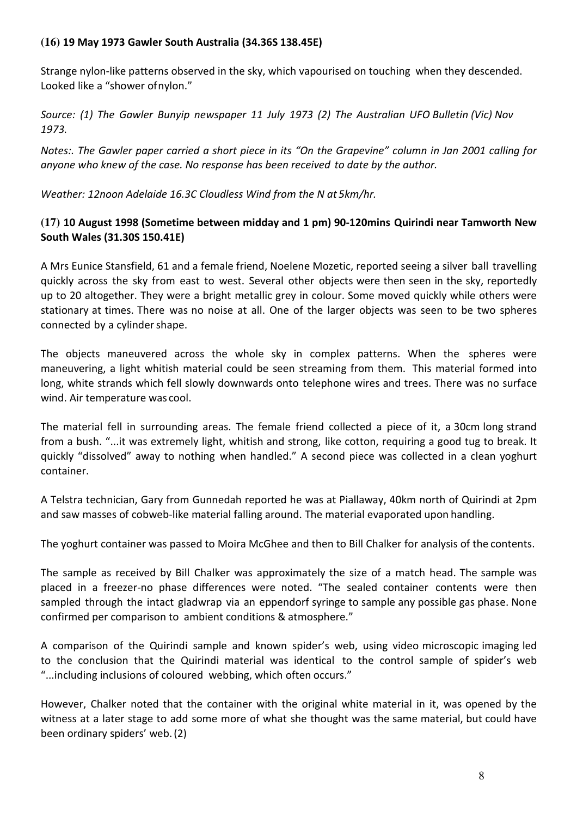## **(16) 19 May 1973 Gawler South Australia (34.36S 138.45E)**

Strange nylon-like patterns observed in the sky, which vapourised on touching when they descended. Looked like a "shower of nylon."

*Source: (1) The Gawler Bunyip newspaper 11 July 1973 (2) The Australian UFO Bulletin (Vic) Nov 1973.*

*Notes:. The Gawler paper carried a short piece in its "On the Grapevine" column in Jan 2001 calling for anyone who knew of the case. No response has been received to date by the author.*

*Weather: 12noon Adelaide 16.3C Cloudless Wind from the N at 5km/hr.* 

## **(17) 10 August 1998 (Sometime between midday and 1 pm) 90-120mins Quirindi near Tamworth New South Wales (31.30S 150.41E)**

A Mrs Eunice Stansfield, 61 and a female friend, Noelene Mozetic, reported seeing a silver ball travelling quickly across the sky from east to west. Several other objects were then seen in the sky, reportedly up to 20 altogether. They were a bright metallic grey in colour. Some moved quickly while others were stationary at times. There was no noise at all. One of the larger objects was seen to be two spheres connected by a cylinder shape.

The objects maneuvered across the whole sky in complex patterns. When the spheres were maneuvering, a light whitish material could be seen streaming from them. This material formed into long, white strands which fell slowly downwards onto telephone wires and trees. There was no surface wind. Air temperature was cool.

The material fell in surrounding areas. The female friend collected a piece of it, a 30cm long strand from a bush. "...it was extremely light, whitish and strong, like cotton, requiring a good tug to break. It quickly "dissolved" away to nothing when handled." A second piece was collected in a clean yoghurt container.

A Telstra technician, Gary from Gunnedah reported he was at Piallaway, 40km north of Quirindi at 2pm and saw masses of cobweb-like material falling around. The material evaporated upon handling.

The yoghurt container was passed to Moira McGhee and then to Bill Chalker for analysis of the contents.

The sample as received by Bill Chalker was approximately the size of a match head. The sample was placed in a freezer-no phase differences were noted. "The sealed container contents were then sampled through the intact gladwrap via an eppendorf syringe to sample any possible gas phase. None confirmed per comparison to ambient conditions & atmosphere."

A comparison of the Quirindi sample and known spider's web, using video microscopic imaging led to the conclusion that the Quirindi material was identical to the control sample of spider's web "...including inclusions of coloured webbing, which often occurs."

However, Chalker noted that the container with the original white material in it, was opened by the witness at a later stage to add some more of what she thought was the same material, but could have been ordinary spiders' web. (2)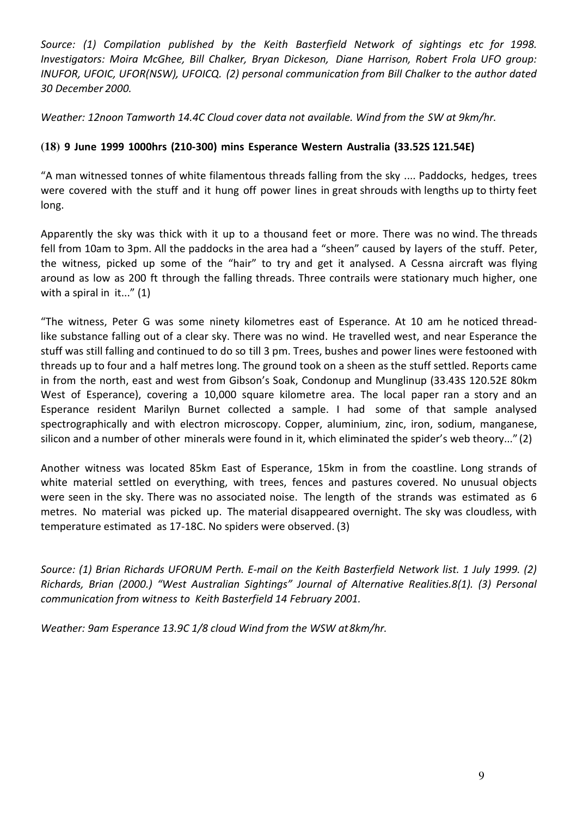Source: (1) Compilation published by the Keith Basterfield Network of sightings etc for 1998. *Investigators: Moira McGhee, Bill Chalker, Bryan Dickeson, Diane Harrison, Robert Frola UFO group: INUFOR, UFOIC, UFOR(NSW), UFOICQ. (2) personal communication from Bill Chalker to the author dated 30 December 2000.*

*Weather: 12noon Tamworth 14.4C Cloud cover data not available. Wind from the SW at 9km/hr.* 

# **(18) 9 June 1999 1000hrs (210-300) mins Esperance Western Australia (33.52S 121.54E)**

"A man witnessed tonnes of white filamentous threads falling from the sky .... Paddocks, hedges, trees were covered with the stuff and it hung off power lines in great shrouds with lengths up to thirty feet long.

Apparently the sky was thick with it up to a thousand feet or more. There was no wind. The threads fell from 10am to 3pm. All the paddocks in the area had a "sheen" caused by layers of the stuff. Peter, the witness, picked up some of the "hair" to try and get it analysed. A Cessna aircraft was flying around as low as 200 ft through the falling threads. Three contrails were stationary much higher, one with a spiral in it..." (1)

"The witness, Peter G was some ninety kilometres east of Esperance. At 10 am he noticed threadlike substance falling out of a clear sky. There was no wind. He travelled west, and near Esperance the stuff was still falling and continued to do so till 3 pm. Trees, bushes and power lines were festooned with threads up to four and a half metres long. The ground took on a sheen as the stuff settled. Reports came in from the north, east and west from Gibson's Soak, Condonup and Munglinup (33.43S 120.52E 80km West of Esperance), covering a 10,000 square kilometre area. The local paper ran a story and an Esperance resident Marilyn Burnet collected a sample. I had some of that sample analysed spectrographically and with electron microscopy. Copper, aluminium, zinc, iron, sodium, manganese, silicon and a number of other minerals were found in it, which eliminated the spider's web theory..." (2)

Another witness was located 85km East of Esperance, 15km in from the coastline. Long strands of white material settled on everything, with trees, fences and pastures covered. No unusual objects were seen in the sky. There was no associated noise. The length of the strands was estimated as 6 metres. No material was picked up. The material disappeared overnight. The sky was cloudless, with temperature estimated as 17-18C. No spiders were observed. (3)

*Source: (1) Brian Richards UFORUM Perth. E-mail on the Keith Basterfield Network list. 1 July 1999. (2) Richards, Brian (2000.) "West Australian Sightings" Journal of Alternative Realities.8(1). (3) Personal communication from witness to Keith Basterfield 14 February 2001.*

*Weather: 9am Esperance 13.9C 1/8 cloud Wind from the WSW at 8km/hr.*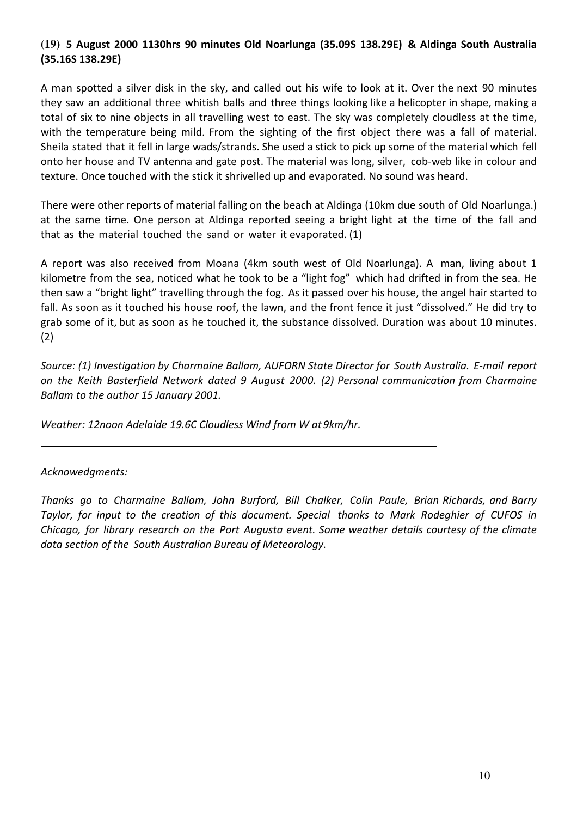# **(19) 5 August 2000 1130hrs 90 minutes Old Noarlunga (35.09S 138.29E) & Aldinga South Australia (35.16S 138.29E)**

A man spotted a silver disk in the sky, and called out his wife to look at it. Over the next 90 minutes they saw an additional three whitish balls and three things looking like a helicopter in shape, making a total of six to nine objects in all travelling west to east. The sky was completely cloudless at the time, with the temperature being mild. From the sighting of the first object there was a fall of material. Sheila stated that it fell in large wads/strands. She used a stick to pick up some of the material which fell onto her house and TV antenna and gate post. The material was long, silver, cob-web like in colour and texture. Once touched with the stick it shrivelled up and evaporated. No sound was heard.

There were other reports of material falling on the beach at Aldinga (10km due south of Old Noarlunga.) at the same time. One person at Aldinga reported seeing a bright light at the time of the fall and that as the material touched the sand or water it evaporated. (1)

A report was also received from Moana (4km south west of Old Noarlunga). A man, living about 1 kilometre from the sea, noticed what he took to be a "light fog" which had drifted in from the sea. He then saw a "bright light" travelling through the fog. As it passed over his house, the angel hair started to fall. As soon as it touched his house roof, the lawn, and the front fence it just "dissolved." He did try to grab some of it, but as soon as he touched it, the substance dissolved. Duration was about 10 minutes. (2)

*Source: (1) Investigation by Charmaine Ballam, AUFORN State Director for South Australia. E-mail report on the Keith Basterfield Network dated 9 August 2000. (2) Personal communication from Charmaine Ballam to the author 15 January 2001.*

*Weather: 12noon Adelaide 19.6C Cloudless Wind from W at 9km/hr.*

*Acknowedgments:*

*Thanks go to Charmaine Ballam, John Burford, Bill Chalker, Colin Paule, Brian Richards, and Barry Taylor, for input to the creation of this document. Special thanks to Mark Rodeghier of CUFOS in Chicago, for library research on the Port Augusta event. Some weather details courtesy of the climate data section of the South Australian Bureau of Meteorology.*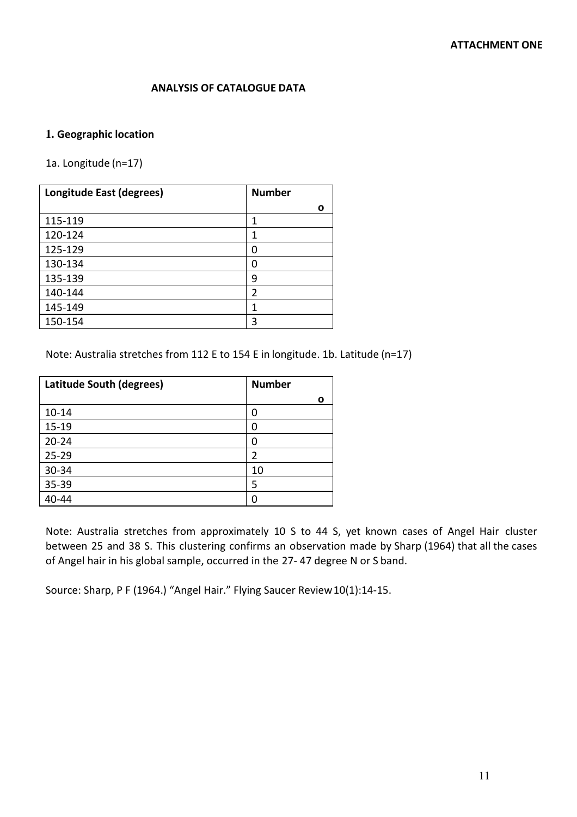#### **ANALYSIS OF CATALOGUE DATA**

## **1. Geographic location**

1a. Longitude (n=17)

| Longitude East (degrees) | <b>Number</b> |
|--------------------------|---------------|
|                          | Ο             |
| 115-119                  | 1             |
| 120-124                  | 1             |
| 125-129                  | 0             |
| 130-134                  | 0             |
| 135-139                  | 9             |
| 140-144                  | 2             |
| 145-149                  | 1             |
| 150-154                  | 3             |

Note: Australia stretches from 112 E to 154 E in longitude. 1b. Latitude (n=17)

| <b>Latitude South (degrees)</b> | <b>Number</b> |
|---------------------------------|---------------|
|                                 | ο             |
| $10 - 14$                       | 0             |
| $15 - 19$                       | 0             |
| $20 - 24$                       | 0             |
| $25 - 29$                       | 2             |
| 30-34                           | 10            |
| 35-39                           | 5             |
| 40-44                           | O             |

Note: Australia stretches from approximately 10 S to 44 S, yet known cases of Angel Hair cluster between 25 and 38 S. This clustering confirms an observation made by Sharp (1964) that all the cases of Angel hair in his global sample, occurred in the 27- 47 degree N or S band.

Source: Sharp, P F (1964.) "Angel Hair." Flying Saucer Review 10(1):14-15.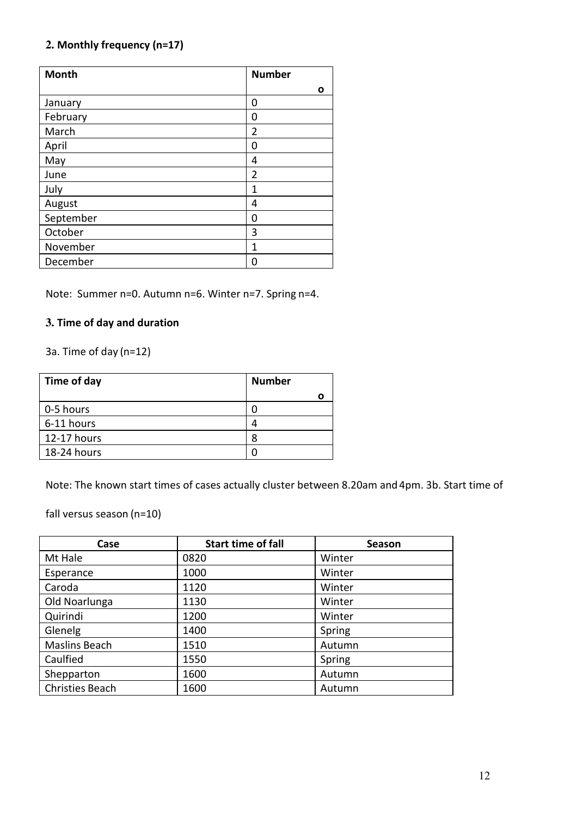# **2. Monthly frequency (n=17)**

| <b>Month</b> | <b>Number</b>  |
|--------------|----------------|
|              | О              |
| January      | 0              |
| February     | 0              |
| March        | $\overline{2}$ |
| April        | 0              |
| May          | 4              |
| June         | $\overline{2}$ |
| July         | 1              |
| August       | 4              |
| September    | 0              |
| October      | 3              |
| November     | 1              |
| December     | 0              |

Note: Summer n=0. Autumn n=6. Winter n=7. Spring n=4.

## **3. Time of day and duration**

3a. Time of day (n=12)

| Time of day | <b>Number</b> |
|-------------|---------------|
|             |               |
| 0-5 hours   |               |
| 6-11 hours  | 4             |
| 12-17 hours |               |
| 18-24 hours |               |
|             |               |

Note: The known start times of cases actually cluster between 8.20am and 4pm. 3b. Start time of

fall versus season (n=10)

| Case                   | <b>Start time of fall</b> | Season |
|------------------------|---------------------------|--------|
| Mt Hale                | 0820                      | Winter |
| Esperance              | 1000                      | Winter |
| Caroda                 | 1120                      | Winter |
| Old Noarlunga          | 1130                      | Winter |
| Quirindi               | 1200                      | Winter |
| Glenelg                | 1400                      | Spring |
| Maslins Beach          | 1510                      | Autumn |
| Caulfied               | 1550                      | Spring |
| Shepparton             | 1600                      | Autumn |
| <b>Christies Beach</b> | 1600                      | Autumn |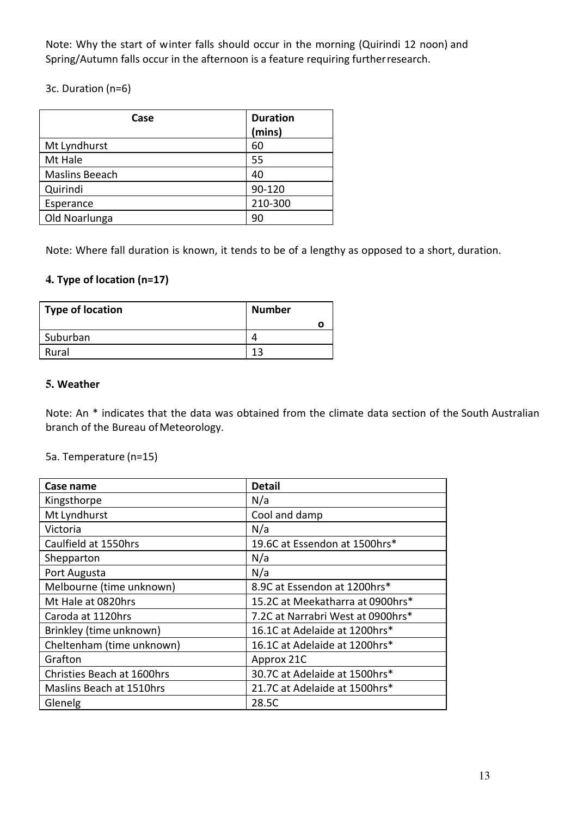Note: Why the start of winter falls should occur in the morning (Quirindi 12 noon) and Spring/Autumn falls occur in the afternoon is a feature requiring further research.

3c. Duration (n=6)

| Case           | <b>Duration</b> |
|----------------|-----------------|
|                | (mins)          |
| Mt Lyndhurst   | 60              |
| Mt Hale        | 55              |
| Maslins Beeach | 40              |
| Quirindi       | 90-120          |
| Esperance      | 210-300         |
| Old Noarlunga  | 90              |

Note: Where fall duration is known, it tends to be of a lengthy as opposed to a short, duration.

# **4. Type of location (n=17)**

| <b>Type of location</b> | <b>Number</b> |
|-------------------------|---------------|
|                         |               |
| Suburban                |               |
| Rural                   | 12            |

## **5. Weather**

Note: An \* indicates that the data was obtained from the climate data section of the South Australian branch of the Bureau of Meteorology.

## 5a. Temperature (n=15)

| Case name                  | <b>Detail</b>                     |
|----------------------------|-----------------------------------|
| Kingsthorpe                | N/a                               |
| Mt Lyndhurst               | Cool and damp                     |
| Victoria                   | N/a                               |
| Caulfield at 1550hrs       | 19.6C at Essendon at 1500hrs*     |
| Shepparton                 | N/a                               |
| Port Augusta               | N/a                               |
| Melbourne (time unknown)   | 8.9C at Essendon at 1200hrs*      |
| Mt Hale at 0820hrs         | 15.2C at Meekatharra at 0900hrs*  |
| Caroda at 1120hrs          | 7.2C at Narrabri West at 0900hrs* |
| Brinkley (time unknown)    | 16.1C at Adelaide at 1200hrs*     |
| Cheltenham (time unknown)  | 16.1C at Adelaide at 1200hrs*     |
| Grafton                    | Approx 21C                        |
| Christies Beach at 1600hrs | 30.7C at Adelaide at 1500hrs*     |
| Maslins Beach at 1510hrs   | 21.7C at Adelaide at 1500hrs*     |
| Glenelg                    | 28.5C                             |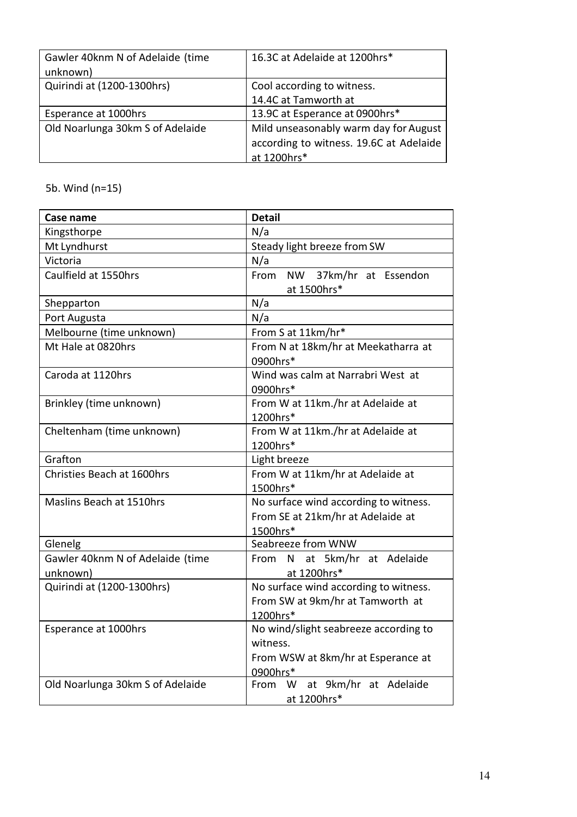| Gawler 40knm N of Adelaide (time<br>unknown) | 16.3C at Adelaide at 1200hrs*           |
|----------------------------------------------|-----------------------------------------|
| Quirindi at (1200-1300hrs)                   | Cool according to witness.              |
|                                              | 14.4C at Tamworth at                    |
| Esperance at 1000hrs                         | 13.9C at Esperance at 0900hrs*          |
| Old Noarlunga 30km S of Adelaide             | Mild unseasonably warm day for August   |
|                                              | according to witness. 19.6C at Adelaide |
|                                              | at 1200hrs*                             |

5b. Wind (n=15)

| Case name                                    | <b>Detail</b>                                                                                       |  |
|----------------------------------------------|-----------------------------------------------------------------------------------------------------|--|
| Kingsthorpe                                  | N/a                                                                                                 |  |
| Mt Lyndhurst                                 | Steady light breeze from SW                                                                         |  |
| Victoria                                     | N/a                                                                                                 |  |
| Caulfield at 1550hrs                         | From NW 37km/hr at Essendon<br>at 1500hrs*                                                          |  |
| Shepparton                                   | N/a                                                                                                 |  |
| Port Augusta                                 | N/a                                                                                                 |  |
| Melbourne (time unknown)                     | From S at 11km/hr*                                                                                  |  |
| Mt Hale at 0820hrs                           | From N at 18km/hr at Meekatharra at<br>0900hrs*                                                     |  |
| Caroda at 1120hrs                            | Wind was calm at Narrabri West at<br>0900hrs*                                                       |  |
| Brinkley (time unknown)                      | From W at 11km./hr at Adelaide at<br>1200hrs*                                                       |  |
| Cheltenham (time unknown)                    | From W at 11km./hr at Adelaide at<br>1200hrs*                                                       |  |
| Grafton                                      | Light breeze                                                                                        |  |
| Christies Beach at 1600hrs                   | From W at 11km/hr at Adelaide at<br>1500hrs*                                                        |  |
| Maslins Beach at 1510hrs                     | No surface wind according to witness.<br>From SE at 21km/hr at Adelaide at<br>1500hrs*              |  |
| Glenelg                                      | Seabreeze from WNW                                                                                  |  |
| Gawler 40knm N of Adelaide (time<br>unknown) | From N at 5km/hr at Adelaide<br>at 1200hrs*                                                         |  |
| Quirindi at (1200-1300hrs)                   | No surface wind according to witness.<br>From SW at 9km/hr at Tamworth at<br>1200hrs*               |  |
| Esperance at 1000hrs                         | No wind/slight seabreeze according to<br>witness.<br>From WSW at 8km/hr at Esperance at<br>0900hrs* |  |
| Old Noarlunga 30km S of Adelaide             | at 9km/hr at Adelaide<br>W<br>From<br>at 1200hrs*                                                   |  |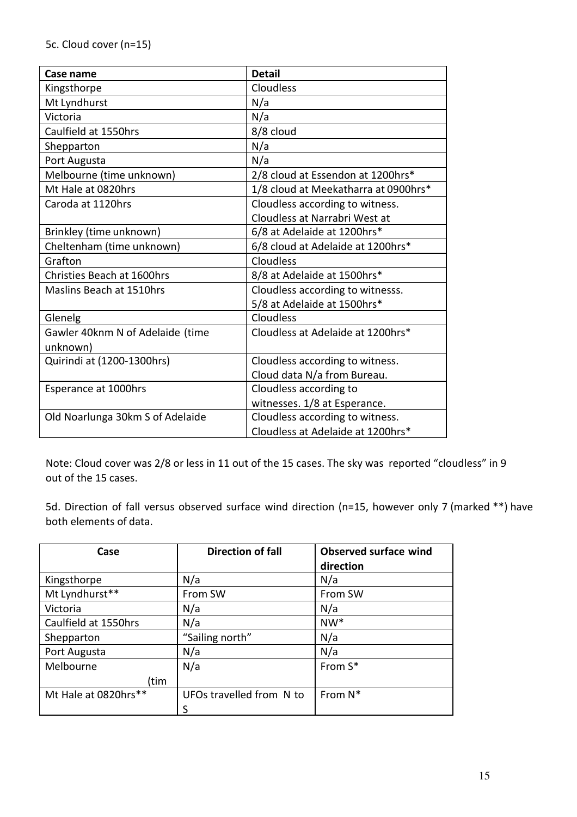| Case name                         | <b>Detail</b>                        |
|-----------------------------------|--------------------------------------|
| Kingsthorpe                       | Cloudless                            |
| Mt Lyndhurst                      | N/a                                  |
| Victoria                          | N/a                                  |
| Caulfield at 1550hrs              | 8/8 cloud                            |
| Shepparton                        | N/a                                  |
| Port Augusta                      | N/a                                  |
| Melbourne (time unknown)          | 2/8 cloud at Essendon at 1200hrs*    |
| Mt Hale at 0820hrs                | 1/8 cloud at Meekatharra at 0900hrs* |
| Caroda at 1120hrs                 | Cloudless according to witness.      |
|                                   | Cloudless at Narrabri West at        |
| Brinkley (time unknown)           | 6/8 at Adelaide at 1200hrs*          |
| Cheltenham (time unknown)         | 6/8 cloud at Adelaide at 1200hrs*    |
| Grafton                           | Cloudless                            |
| <b>Christies Beach at 1600hrs</b> | 8/8 at Adelaide at 1500hrs*          |
| Maslins Beach at 1510hrs          | Cloudless according to witnesss.     |
|                                   | 5/8 at Adelaide at 1500hrs*          |
| Glenelg                           | Cloudless                            |
| Gawler 40knm N of Adelaide (time  | Cloudless at Adelaide at 1200hrs*    |
| unknown)                          |                                      |
| Quirindi at (1200-1300hrs)        | Cloudless according to witness.      |
|                                   | Cloud data N/a from Bureau.          |
| Esperance at 1000hrs              | Cloudless according to               |
|                                   | witnesses. 1/8 at Esperance.         |
| Old Noarlunga 30km S of Adelaide  | Cloudless according to witness.      |
|                                   | Cloudless at Adelaide at 1200hrs*    |

Note: Cloud cover was 2/8 or less in 11 out of the 15 cases. The sky was reported "cloudless" in 9 out of the 15 cases.

5d. Direction of fall versus observed surface wind direction (n=15, however only 7 (marked \*\*) have both elements of data.

| Case                 | <b>Direction of fall</b> | <b>Observed surface wind</b> |
|----------------------|--------------------------|------------------------------|
|                      |                          | direction                    |
| Kingsthorpe          | N/a                      | N/a                          |
| Mt Lyndhurst**       | From SW                  | From SW                      |
| Victoria             | N/a                      | N/a                          |
| Caulfield at 1550hrs | N/a                      | $NW*$                        |
| Shepparton           | "Sailing north"          | N/a                          |
| Port Augusta         | N/a                      | N/a                          |
| Melbourne            | N/a                      | From S*                      |
| tim)                 |                          |                              |
| Mt Hale at 0820hrs** | UFOs travelled from N to | From N*                      |
|                      | S                        |                              |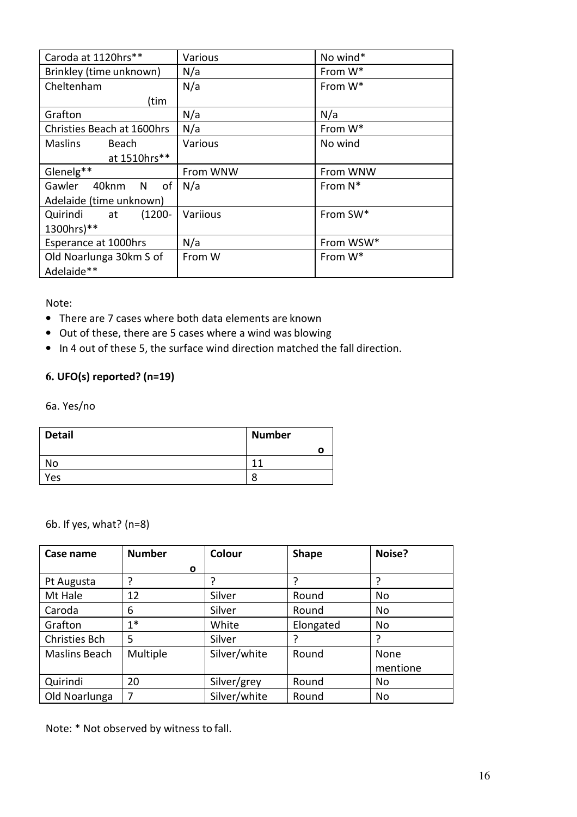| Caroda at 1120hrs**            | Various  | No wind*             |
|--------------------------------|----------|----------------------|
| Brinkley (time unknown)        | N/a      | From W*              |
| Cheltenham                     | N/a      | From W*              |
| (tim                           |          |                      |
| Grafton                        | N/a      | N/a                  |
| Christies Beach at 1600hrs     | N/a      | From W*              |
| <b>Maslins</b><br>Beach        | Various  | No wind              |
| at 1510hrs**                   |          |                      |
| Glenelg**                      | From WNW | From WNW             |
| Gawler<br>40knm<br>of<br>N     | N/a      | From $N^*$           |
| Adelaide (time unknown)        |          |                      |
| Quirindi<br>$(1200 -$<br>at at | Variious | From SW <sup>*</sup> |
| 1300hrs)**                     |          |                      |
| Esperance at 1000hrs           | N/a      | From WSW*            |
| Old Noarlunga 30km S of        | From W   | From W*              |
| Adelaide**                     |          |                      |

Note:

- There are 7 cases where both data elements are known
- Out of these, there are 5 cases where a wind was blowing
- In 4 out of these 5, the surface wind direction matched the fall direction.

## **6. UFO(s) reported? (n=19)**

6a. Yes/no

| <b>Detail</b> | <b>Number</b> |
|---------------|---------------|
|               |               |
| <b>No</b>     | ø<br>1        |
| Yes           | 8             |

6b. If yes, what? (n=8)

| Case name            | <b>Number</b>  | Colour       | <b>Shape</b> | Noise?   |
|----------------------|----------------|--------------|--------------|----------|
|                      | $\mathbf{o}$   |              |              |          |
| Pt Augusta           | ?              |              | ?            | 7        |
| Mt Hale              | 12             | Silver       | Round        | No       |
| Caroda               | 6              | Silver       | Round        | No       |
| Grafton              | $1*$           | White        | Elongated    | No       |
| <b>Christies Bch</b> | 5              | Silver       | ?            | 7        |
| Maslins Beach        | Multiple       | Silver/white | Round        | None     |
|                      |                |              |              | mentione |
| Quirindi             | 20             | Silver/grey  | Round        | No       |
| Old Noarlunga        | $\overline{7}$ | Silver/white | Round        | No       |

Note: \* Not observed by witness to fall.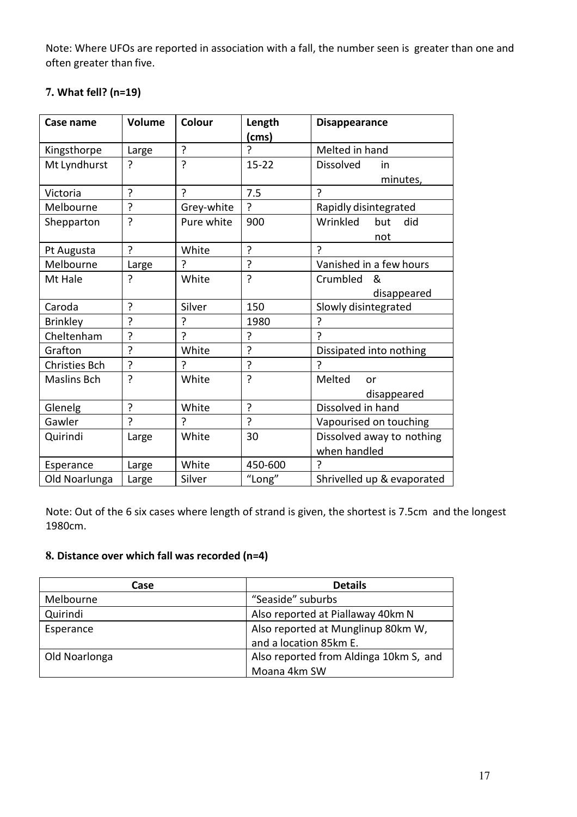Note: Where UFOs are reported in association with a fall, the number seen is greater than one and often greater than five.

| Case name            | Volume | Colour       | Length         | <b>Disappearance</b>       |  |
|----------------------|--------|--------------|----------------|----------------------------|--|
|                      |        |              | (cms)          |                            |  |
| Kingsthorpe          | Large  | ?            | ኃ              | Melted in hand             |  |
| Mt Lyndhurst         | ?      | ?            | $15 - 22$      | <b>Dissolved</b><br>in     |  |
|                      |        |              |                | minutes,                   |  |
| Victoria             | ŗ      | <sup>2</sup> | 7.5            | ς                          |  |
| Melbourne            | ?      | Grey-white   | ?              | Rapidly disintegrated      |  |
| Shepparton           | ?      | Pure white   | 900            | Wrinkled<br>but<br>did     |  |
|                      |        |              |                | not                        |  |
| Pt Augusta           | ?      | White        | ?              | ς                          |  |
| Melbourne            | Large  | ?            | ?              | Vanished in a few hours    |  |
| Mt Hale              | ?      | White        | ?              | Crumbled<br>&              |  |
|                      |        |              |                | disappeared                |  |
| Caroda               | ?      | Silver       | 150            | Slowly disintegrated       |  |
| <b>Brinkley</b>      | ?      | ?            | 1980           | 7                          |  |
| Cheltenham           | ?      | ?            | ?              | 2                          |  |
| Grafton              | ?      | White        | ?              | Dissipated into nothing    |  |
| <b>Christies Bch</b> | ?      | Ç            | ?              | ς                          |  |
| <b>Maslins Bch</b>   | 5      | White        | ?              | Melted<br>or               |  |
|                      |        |              |                | disappeared                |  |
| Glenelg              | ŗ      | White        | ?              | Dissolved in hand          |  |
| Gawler               | Ç      | 7            | $\overline{?}$ | Vapourised on touching     |  |
| Quirindi             | Large  | White        | 30             | Dissolved away to nothing  |  |
|                      |        |              |                | when handled               |  |
| Esperance            | Large  | White        | 450-600        | 2                          |  |
| Old Noarlunga        | Large  | Silver       | "Long"         | Shrivelled up & evaporated |  |

# **7. What fell? (n=19)**

Note: Out of the 6 six cases where length of strand is given, the shortest is 7.5cm and the longest 1980cm.

# **8. Distance over which fall was recorded (n=4)**

| Case          | <b>Details</b>                         |
|---------------|----------------------------------------|
| Melbourne     | "Seaside" suburbs                      |
| Quirindi      | Also reported at Piallaway 40km N      |
| Esperance     | Also reported at Munglinup 80km W,     |
|               | and a location 85km E.                 |
| Old Noarlonga | Also reported from Aldinga 10km S, and |
|               | Moana 4km SW                           |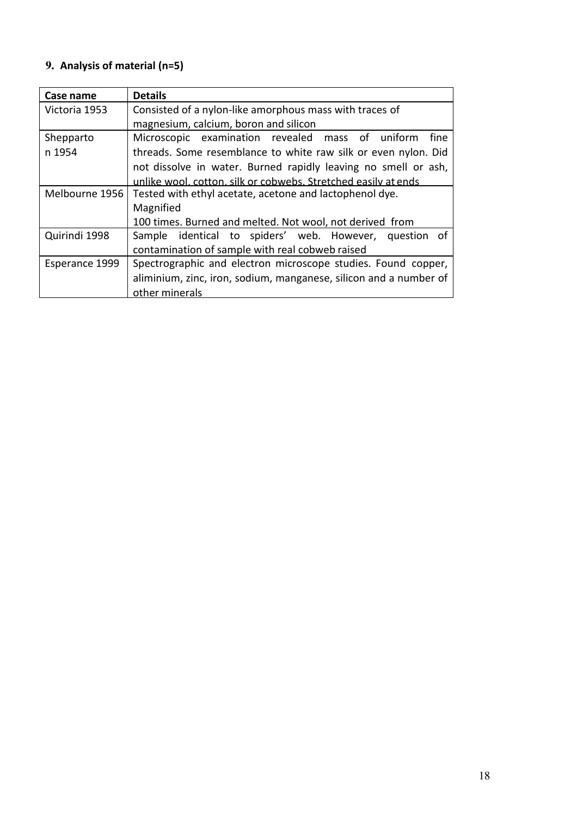# **9. Analysis of material (n=5)**

| Case name      | <b>Details</b>                                                    |
|----------------|-------------------------------------------------------------------|
| Victoria 1953  | Consisted of a nylon-like amorphous mass with traces of           |
|                | magnesium, calcium, boron and silicon                             |
| Shepparto      | Microscopic examination revealed mass of uniform<br>fine          |
| n 1954         | threads. Some resemblance to white raw silk or even nylon. Did    |
|                | not dissolve in water. Burned rapidly leaving no smell or ash,    |
|                | unlike wool, cotton, silk or cobwebs. Stretched easily at ends    |
| Melbourne 1956 | Tested with ethyl acetate, acetone and lactophenol dye.           |
|                | Magnified                                                         |
|                | 100 times. Burned and melted. Not wool, not derived from          |
| Quirindi 1998  | Sample identical to spiders' web. However, question of            |
|                | contamination of sample with real cobweb raised                   |
| Esperance 1999 | Spectrographic and electron microscope studies. Found copper,     |
|                | aliminium, zinc, iron, sodium, manganese, silicon and a number of |
|                | other minerals                                                    |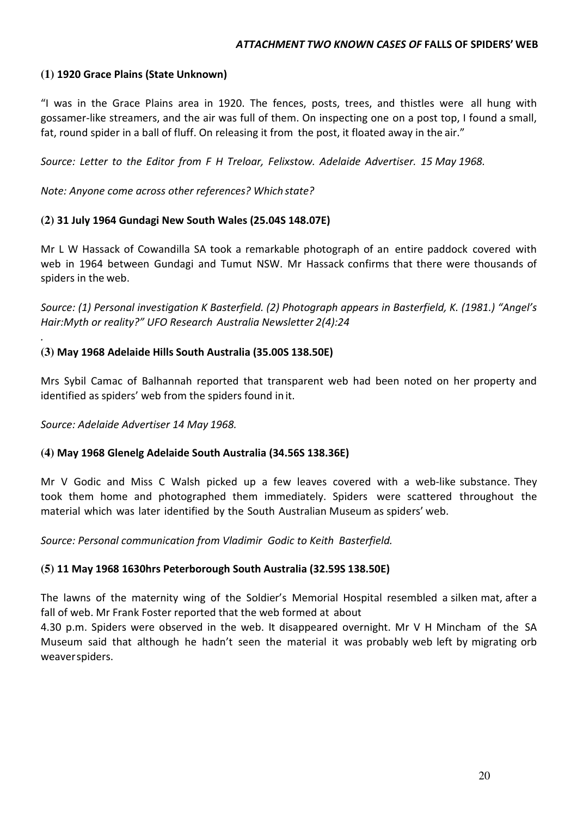## **(1) 1920 Grace Plains (State Unknown)**

"I was in the Grace Plains area in 1920. The fences, posts, trees, and thistles were all hung with gossamer-like streamers, and the air was full of them. On inspecting one on a post top, I found a small, fat, round spider in a ball of fluff. On releasing it from the post, it floated away in the air."

*Source: Letter to the Editor from F H Treloar, Felixstow. Adelaide Advertiser. 15 May 1968.*

*Note: Anyone come across other references? Which state?* 

## **(2) 31 July 1964 Gundagi New South Wales (25.04S 148.07E)**

Mr L W Hassack of Cowandilla SA took a remarkable photograph of an entire paddock covered with web in 1964 between Gundagi and Tumut NSW. Mr Hassack confirms that there were thousands of spiders in the web.

*Source: (1) Personal investigation K Basterfield. (2) Photograph appears in Basterfield, K. (1981.) "Angel's Hair:Myth or reality?" UFO Research Australia Newsletter 2(4):24* 

## **(3) May 1968 Adelaide Hills South Australia (35.00S 138.50E)**

Mrs Sybil Camac of Balhannah reported that transparent web had been noted on her property and identified as spiders' web from the spiders found in it.

*Source: Adelaide Advertiser 14 May 1968.* 

*.*

## **(4) May 1968 Glenelg Adelaide South Australia (34.56S 138.36E)**

Mr V Godic and Miss C Walsh picked up a few leaves covered with a web-like substance. They took them home and photographed them immediately. Spiders were scattered throughout the material which was later identified by the South Australian Museum as spiders' web.

*Source: Personal communication from Vladimir Godic to Keith Basterfield.* 

## **(5) 11 May 1968 1630hrs Peterborough South Australia (32.59S 138.50E)**

The lawns of the maternity wing of the Soldier's Memorial Hospital resembled a silken mat, after a fall of web. Mr Frank Foster reported that the web formed at about

4.30 p.m. Spiders were observed in the web. It disappeared overnight. Mr V H Mincham of the SA Museum said that although he hadn't seen the material it was probably web left by migrating orb weaver spiders.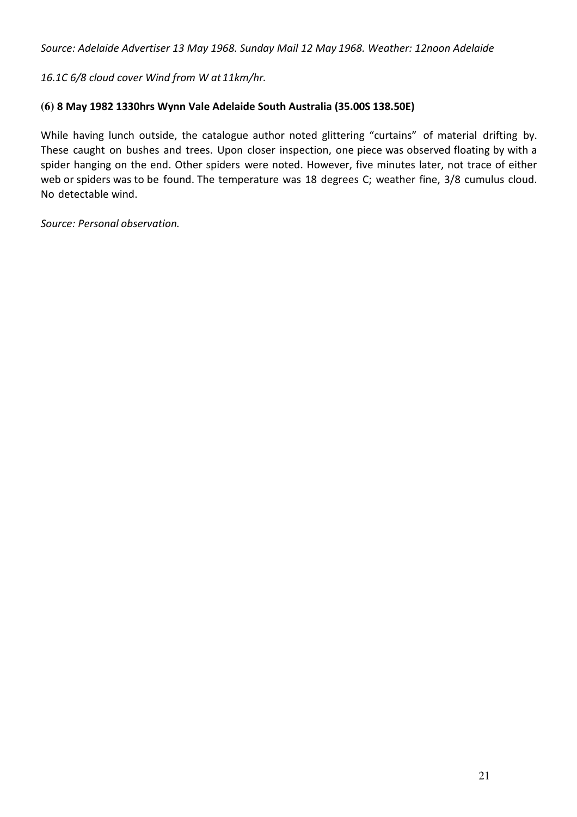*Source: Adelaide Advertiser 13 May 1968. Sunday Mail 12 May 1968. Weather: 12noon Adelaide* 

*16.1C 6/8 cloud cover Wind from W at 11km/hr.*

# **(6) 8 May 1982 1330hrs Wynn Vale Adelaide South Australia (35.00S 138.50E)**

While having lunch outside, the catalogue author noted glittering "curtains" of material drifting by. These caught on bushes and trees. Upon closer inspection, one piece was observed floating by with a spider hanging on the end. Other spiders were noted. However, five minutes later, not trace of either web or spiders was to be found. The temperature was 18 degrees C; weather fine, 3/8 cumulus cloud. No detectable wind.

*Source: Personal observation.*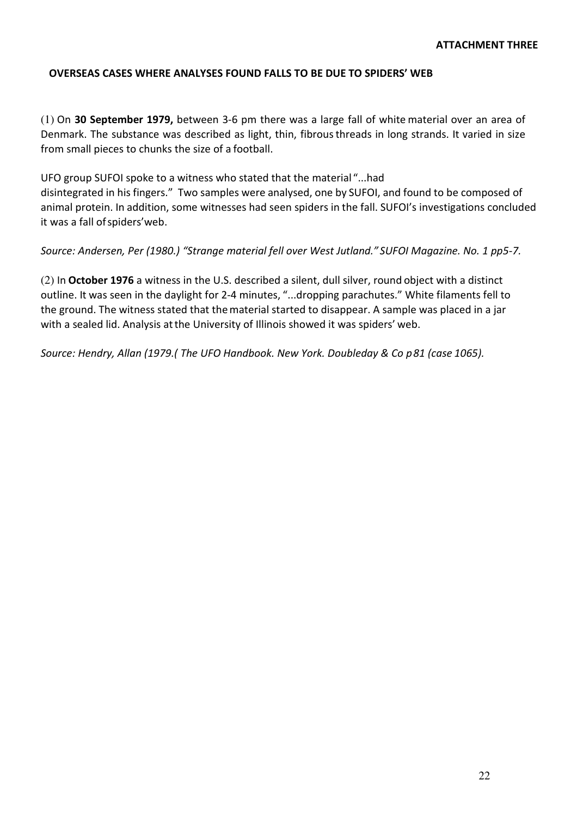### **OVERSEAS CASES WHERE ANALYSES FOUND FALLS TO BE DUE TO SPIDERS' WEB**

(1) On **30 September 1979,** between 3-6 pm there was a large fall of white material over an area of Denmark. The substance was described as light, thin, fibrous threads in long strands. It varied in size from small pieces to chunks the size of a football.

UFO group SUFOI spoke to a witness who stated that the material "...had disintegrated in his fingers." Two samples were analysed, one by SUFOI, and found to be composed of animal protein. In addition, some witnesses had seen spiders in the fall. SUFOI's investigations concluded it was a fall of spiders'web.

*Source: Andersen, Per (1980.) "Strange material fell over West Jutland." SUFOI Magazine. No. 1 pp5-7.*

(2) In **October 1976** a witness in the U.S. described a silent, dull silver, round object with a distinct outline. It was seen in the daylight for 2-4 minutes, "...dropping parachutes." White filaments fell to the ground. The witness stated that the material started to disappear. A sample was placed in a jar with a sealed lid. Analysis at the University of Illinois showed it was spiders' web.

*Source: Hendry, Allan (1979.( The UFO Handbook. New York. Doubleday & Co p 81 (case 1065).*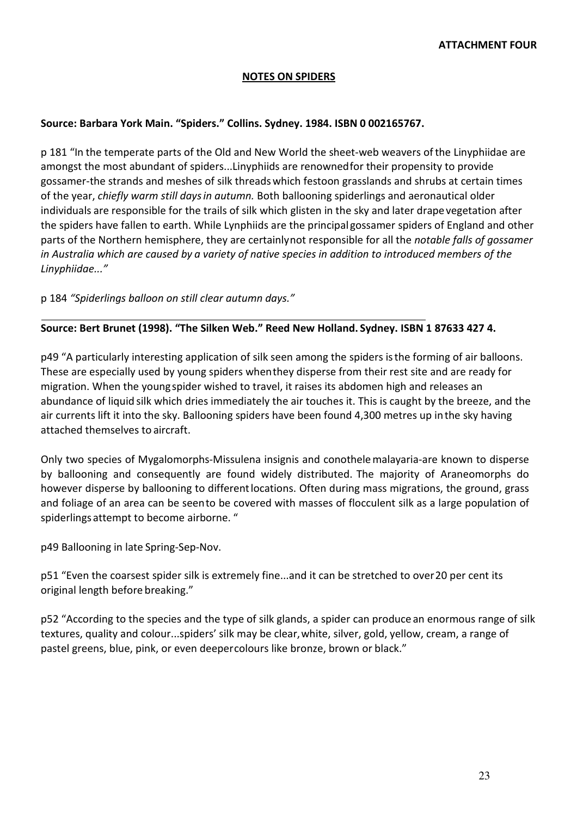#### **NOTES ON SPIDERS**

#### **Source: Barbara York Main. "Spiders." Collins. Sydney. 1984. ISBN 0 002165767.**

p 181 "In the temperate parts of the Old and New World the sheet-web weavers of the Linyphiidae are amongst the most abundant of spiders...Linyphiids are renowned for their propensity to provide gossamer-the strands and meshes of silk threads which festoon grasslands and shrubs at certain times of the year, *chiefly warm still days in autumn.* Both ballooning spiderlings and aeronautical older individuals are responsible for the trails of silk which glisten in the sky and later drape vegetation after the spiders have fallen to earth. While Lynphiids are the principal gossamer spiders of England and other parts of the Northern hemisphere, they are certainly not responsible for all the *notable falls of gossamer in Australia which are caused by a variety of native species in addition to introduced members of the Linyphiidae..."*

p 184 *"Spiderlings balloon on still clear autumn days."*

## **Source: Bert Brunet (1998). "The Silken Web." Reed New Holland. Sydney. ISBN 1 87633 427 4.**

p49 "A particularly interesting application of silk seen among the spiders is the forming of air balloons. These are especially used by young spiders when they disperse from their rest site and are ready for migration. When the young spider wished to travel, it raises its abdomen high and releases an abundance of liquid silk which dries immediately the air touches it. This is caught by the breeze, and the air currents lift it into the sky. Ballooning spiders have been found 4,300 metres up in the sky having attached themselves to aircraft.

Only two species of Mygalomorphs-Missulena insignis and conothele malayaria-are known to disperse by ballooning and consequently are found widely distributed. The majority of Araneomorphs do however disperse by ballooning to different locations. Often during mass migrations, the ground, grass and foliage of an area can be seen to be covered with masses of flocculent silk as a large population of spiderlings attempt to become airborne. "

p49 Ballooning in late Spring-Sep-Nov.

p51 "Even the coarsest spider silk is extremely fine...and it can be stretched to over 20 per cent its original length before breaking."

p52 "According to the species and the type of silk glands, a spider can produce an enormous range of silk textures, quality and colour...spiders' silk may be clear, white, silver, gold, yellow, cream, a range of pastel greens, blue, pink, or even deeper colours like bronze, brown or black."